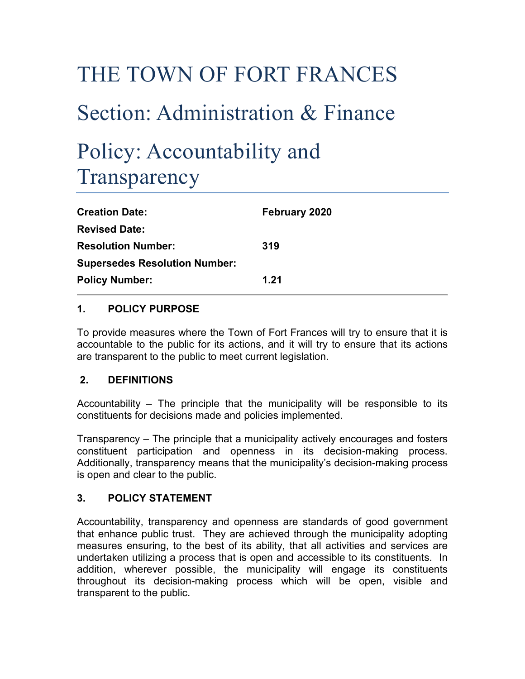# THE TOWN OF FORT FRANCES Section: Administration & Finance Policy: Accountability and **Transparency**

| <b>Creation Date:</b>                | February 2020 |
|--------------------------------------|---------------|
| <b>Revised Date:</b>                 |               |
| <b>Resolution Number:</b>            | 319           |
| <b>Supersedes Resolution Number:</b> |               |
| <b>Policy Number:</b>                | 1.21          |

## **1. POLICY PURPOSE**

To provide measures where the Town of Fort Frances will try to ensure that it is accountable to the public for its actions, and it will try to ensure that its actions are transparent to the public to meet current legislation.

## **2. DEFINITIONS**

Accountability – The principle that the municipality will be responsible to its constituents for decisions made and policies implemented.

Transparency – The principle that a municipality actively encourages and fosters constituent participation and openness in its decision-making process. Additionally, transparency means that the municipality's decision-making process is open and clear to the public.

## **3. POLICY STATEMENT**

Accountability, transparency and openness are standards of good government that enhance public trust. They are achieved through the municipality adopting measures ensuring, to the best of its ability, that all activities and services are undertaken utilizing a process that is open and accessible to its constituents. In addition, wherever possible, the municipality will engage its constituents throughout its decision-making process which will be open, visible and transparent to the public.